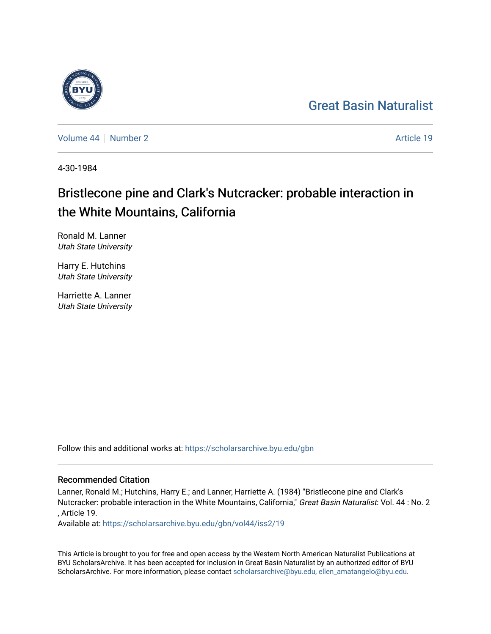## [Great Basin Naturalist](https://scholarsarchive.byu.edu/gbn)

[Volume 44](https://scholarsarchive.byu.edu/gbn/vol44) | [Number 2](https://scholarsarchive.byu.edu/gbn/vol44/iss2) Article 19

4-30-1984

# Bristlecone pine and Clark's Nutcracker: probable interaction in the White Mountains, California

Ronald M. Lanner Utah State University

Harry E. Hutchins Utah State University

Harriette A. Lanner Utah State University

Follow this and additional works at: [https://scholarsarchive.byu.edu/gbn](https://scholarsarchive.byu.edu/gbn?utm_source=scholarsarchive.byu.edu%2Fgbn%2Fvol44%2Fiss2%2F19&utm_medium=PDF&utm_campaign=PDFCoverPages) 

## Recommended Citation

Lanner, Ronald M.; Hutchins, Harry E.; and Lanner, Harriette A. (1984) "Bristlecone pine and Clark's Nutcracker: probable interaction in the White Mountains, California," Great Basin Naturalist: Vol. 44 : No. 2 , Article 19.

Available at: [https://scholarsarchive.byu.edu/gbn/vol44/iss2/19](https://scholarsarchive.byu.edu/gbn/vol44/iss2/19?utm_source=scholarsarchive.byu.edu%2Fgbn%2Fvol44%2Fiss2%2F19&utm_medium=PDF&utm_campaign=PDFCoverPages) 

This Article is brought to you for free and open access by the Western North American Naturalist Publications at BYU ScholarsArchive. It has been accepted for inclusion in Great Basin Naturalist by an authorized editor of BYU ScholarsArchive. For more information, please contact [scholarsarchive@byu.edu, ellen\\_amatangelo@byu.edu.](mailto:scholarsarchive@byu.edu,%20ellen_amatangelo@byu.edu)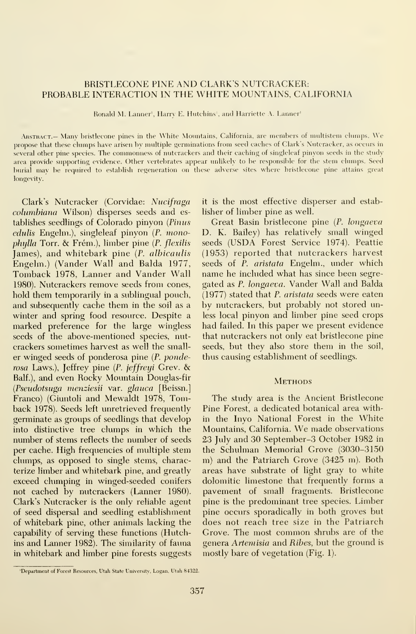### BRISTLECONE PINE AND CLARK'S NUTCRACKER: PROBABLE INTERACTION IN THE WHITE MOUNTAINS, CALIFORNIA

Ronald M. Lanner', Harry E. Hutchins', and Harriette A. Lanner'

Abstract.— Many bristlecone pines in the White Mountains, California, are members of multistem clumps. We propose that these clumps have arisen by multiple germinations from seed caches of Clark's Nutcracker, as occurs in several other pine species. The commonness of nutcrackers and their caching of singleleaf pinyon seeds in the study area provide supporting evidence. Other vertebrates appear unlikely to be responsible for the stem clumps. Seed burial ma\ be reejuired to establish regeneration on these adverse sites where bristlecone pine attains great longevity.

Clark's Nutcracker (Corvidae: Nucifraga columbiana Wilson) disperses seeds and establishes seedlings of Colorado pinyon {Pinus  $cdulis$  Engelm.), singleleaf pinyon  $(P.$  monophylla Torr. & Frém.), limber pine (P. flexilis James), and whitebark pine (P. albicaulis Engelm.) (Vander Wall and Balda 1977, Tomback 1978, Lanner and Vander Wall 1980). Nutcrackers remove seeds from cones, hold them temporarily in a sublingual pouch, and subsequently cache them in the soil as a winter and spring food resource. Despite a marked preference for the large wingless seeds of the above-mentioned species, nut crackers sometimes harvest as well the smaller winged seeds of ponderosa pine {P. ponderosa Laws.), Jeffrey pine {P. jeffreyi Grev. & Balf.), and even Rocky Mountain Douglas-fir {Pseudotsuga menziesii var. glauca [Beissn.] Franco) (Giuntoli and Mewaldt 1978, Tomback 1978). Seeds left unretrieved frequently genninate as groups of seedlings that develop into distinctive tree clumps in which the number of stems reflects the number of seeds per cache. High frequencies of multiple stem clumps, as opposed to single stems, characterize limber and whitebark pine, and greatly exceed clumping in winged-seeded conifers not cached by nutcrackers (Lanner 1980). Clark's Nutcracker is the only reliable agent of seed dispersal and seedling establishment of whitebark pine, other animals lacking the capability of serving these functions (Hutchins and Lanner 1982). The similarity of fauna in whitebark and limber pine forests suggests

it is the most effective disperser and establisher of limber pine as well.

Great Basin bristlecone pine (P. longaeva D. K. Bailey) has relatively small winged seeds (USDA Forest Service 1974). Peattie (1953) reported that nutcrackers harvest seeds of P. aristata Engelm., under which name he included what has since been segregated as P. longaeva. Vander Wall and Balda (1977) stated that P. aristata seeds were eaten by nutcrackers, but probably not stored unless local pinyon and limber pine seed crops had failed. In this paper we present evidence that nutcrackers not only eat bristlecone pine seeds, but they also store them in the soil, thus causing establishment of seedlings.

#### **METHODS**

The study area is the Ancient Bristlecone Pine Forest, a dedicated botanical area within the Inyo National Forest in the White Mountains, California. We made observations 23 July and 30 September-3 October 1982 in the Schulman Memorial Grove (3030-3150 m) and the Patriarch Grove (3425 m). Both areas have substrate of light gray to white dolomitic limestone that frequently forms a pavement of small fragments. Bristlecone pine is the predominant tree species. Limber pine occurs sporadically in both groves but does not reach tree size in the Patriarch Grove. The most common shrubs are of the genera Artemisia and Ribes, but the ground is mostly bare of vegetation (Fig. 1).

<sup>&#</sup>x27;Department of Forest Resources, Utah State University, Logan, Utah 84322.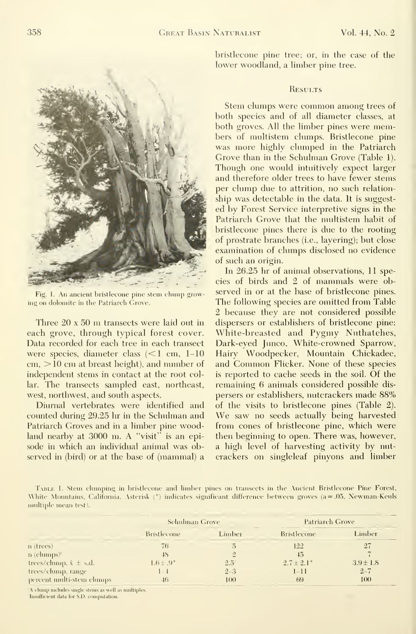

Fig. 1. An ancient bristlecone pine stem clump growing on dolomite in the Patriarch Grove.

Three <sup>20</sup> <sup>x</sup> <sup>50</sup> m transects were laid out in each grove, through typical forest cover. Data recorded for each tree in each transect were species, diameter class  $\approx 1$  cm, 1-10 cm, >10 cm at breast height), and number of independent stems in contact at the root collar. The transects sampled east, northeast, west, northwest, and south aspects.

Diurnal vertebrates were identified and coimted during 29.25 hr in the Schulman and Patriarch Groves and in a limber pine woodland nearby at 3000 m. A "visit" is an episode in which an individual animal was observed in (bird) or at the base of (mammal) a bristlecone pine tree; or, in the case of the lower woodland, a limber pine tree.

#### **RESULTS**

Stem clumps were common among trees of both species and of all diameter classes, at both groves. All the limber pines were members of multistem clumps. Bristlecone pine was more highly clumped in the Patriarch Grove than in the Schulman Grove (Table 1). Though one would intuitively expect larger and therefore older trees to have fewer stems per clump due to attrition, no such relation ship was detectable in the data. It is suggested by Forest Service interpretive signs in the Patriarch Grove that the multistem habit of bristlecone pines there is due to the rooting of prostrate branches (i.e., layering); but close examination of clumps disclosed no evidence of such an origin.

In 26.25 hr of animal observations, 11 species of birds and 2 of mammals were observed in or at the base of bristlecone pines. The following species are omitted from Table 2 because they are not considered possible dispersers or establishers of bristlecone pine: White-breasted and Pygmy Nuthatches, Dark-eyed Junco, White-crowned Sparrow, Hairy Woodpecker, Mountain Chickadee, and Common Flicker. None of these species is reported to cache seeds in the soil. Of the remaining 6 animals considered possible dis persers or establishers, nutcrackers made 88% of the visits to bristlecone pines (Table 2). We saw no seeds actually being harvested from cones of bristlecone pine, which were then beginning to open. There was, however, a high level of harvesting activity by nut crackers on singleleaf pinyons and limber

Table 1.Stem clumping in bristlecone and limber pines on transects in the Ancient Bristlecone Pine Forest, White Mountains, California. Asterisk ( $\degree$ ) indicates significant difference between groves (a = .05, Newman-Keuls multiple mean test).

|                                                 | <b>Schulman Grove</b> |               | Patriarch Grove       |               |
|-------------------------------------------------|-----------------------|---------------|-----------------------|---------------|
|                                                 | <b>Bristlecone</b>    | Limber        | Bristlecone           | imber         |
| n (trees)                                       | 76                    |               | 122                   |               |
| $n$ (chunps) <sup><math>\mathbf{r}</math></sup> |                       |               |                       |               |
| trees/chimp, $\bar{x} \pm s.d.$                 | $1.6 \pm .9^{\circ}$  | $2.5^{\circ}$ | $2.7 \pm 2.1^{\circ}$ | $3.9 \pm 1.8$ |
| trees/clump, range                              | $-1$                  | $2 - 3$       | $1 - 11$              | $2 - 7$       |
| percent multi-stem clumps                       |                       | 100           | 69                    | 100           |

A clump includes single stems as well as multiples. Insufficient data for S.D. computation.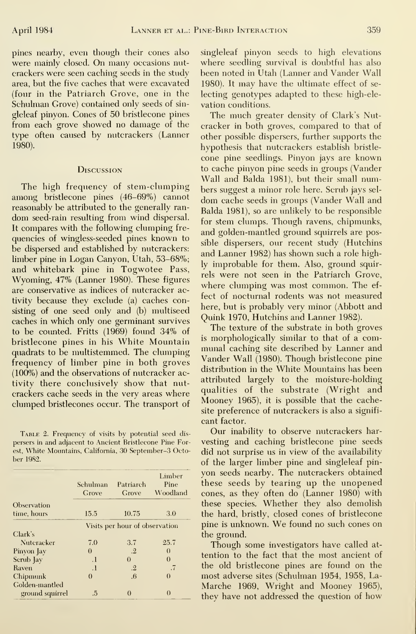were mainly closed. On many occasions nut-<br>where seedling survival is doubtful has also crackers were seen caching seeds in the study area, but the five caches that were excavated 1980). It may have the ultimate effect of se-(four in the Patriarch Grove, one in the Schulman Grove) contained only seeds of sin-<br>vation conditions. gleleaf pinyon. Cones of 50 bristlecone pines from each grove showed no damage of the cracker in both groves, compared to that of type often caused by nutcrackers (Lanner other possible dispersers, further supports the 1980).

#### **Discussion**

It compares with the following clumping fre-<br>and golden-mantled ground squirrels are posbe dispersed and established by nutcrackers:<br>and Lanner 1982) has shown such a role highlimber pine in Logan Canyon, Utah, 53–68%; dy improbable for them. Also, ground squir-Wyoming, 47% (Lanner 1980). These figures the not seen in the Tatriarch Grove, are conservative as indices of nutcracker activity because they exclude (a) caches concaches in which only one germinant survives (100%) and the observations of nutcracker activity there conclusively show that nut-

persers in and adjacent to Ancient Bristlecone Pine Forest, White Mountains, California, 30 September-3 October 1982.

|                            | Schulman<br>Grove              | Patriarch<br>Grove   | Limber<br>Pine<br>Woodland |  |
|----------------------------|--------------------------------|----------------------|----------------------------|--|
| Observation<br>time, hours | 15.5                           | 10.75                | 3.0                        |  |
|                            | Visits per hour of observation |                      |                            |  |
| Clark's                    |                                |                      |                            |  |
| Nuteracker                 | 7.0                            | 3.7                  | 25.7                       |  |
| Pinyon Jay                 | $\theta$                       | $\cdot$ <sup>2</sup> | $\Omega$                   |  |
| Scrub Jay                  | $\cdot$                        | $\Omega$             | $\Omega$                   |  |
| Raven                      | $\cdot$                        | $\cdot$ <sup>2</sup> | .7                         |  |
| Chipmunk                   | $\Omega$                       | .6                   | 0                          |  |
| Golden-mantled             |                                |                      |                            |  |
| ground squirrel            | .5                             |                      | $\Omega$                   |  |

pines nearby, even though their cones also singleleaf pinyon seeds to high elevations

The much greater density of Clark's Nuthypothesis that nutcrackers establish bristlecone pine seedlings. Pinyon jays are known to cache pinyon pine seeds in groups (Vander Wall and Balda 1981), but their small num-The high frequency of stem-clumping bers suggest a minor role here. Scrub jays selamong bristlecone pines (46-69%) cannot dom cache seeds in groups (Vander Wall and reasonably be attributed to the generally ran-<br>Balda 1981), so are unlikely to be responsible dom seed-rain resulting from wind dispersal. for stem clumps. Though ravens, chipmunks, quencies of wingless-seeded pines known to<br>sible dispersers, our recent study (Hutchins and whitebark pine in Togwotee Pass, <sup>17</sup> improvable for them, Also, ground squire fect of nocturnal rodents was not measured siting of one seed only and (b) multiseed<br>size of one seed only and  $\frac{1}{2}$  multiseed  $\frac{1}{2}$  multiseed  $\frac{1}{2}$  multiseed seeks is which solve as a consequented with survives  $\frac{1}{2}$  multiseed  $\frac{1}{2}$  multiseed

The texture of the substrate in both groves to be counted. Fritts (1969) found 34% of the texture of the substrate in both groves<br>bristlecone pines in his White Mountain is morphologically similar to that of a combristlecone pines in his White Mountain is morphologically similar to that of a com-<br>quadrate to be multistemped. The elumning munal caching site described by Lanner and quadrats to be multistemmed. The clumping and call the described by Laimer and quadrats to be multistemmed. The clumping Vander Wall (1980). Though bristlecone pine frequency of limber pine in both groves value wall (1960). Though bristiecole pine<br>(1997) and the observations of puters clear as distribution in the White Mountains has been attributed largely to the moisture-holding crackers cache seeds in the very areas where<br>
qualities of the substrate (Wright and<br>
clumped brithloones occur. The transport of Mooney 1965), it is possible that the cacheclumped bristlecones occur. The transport of Mooney 1900), it is possible that the cache-<br>site preference of nutcrackers is also a significant factor.

Our inability to observe nutcrackers har-Table 2. Frequency of visits by potential seed dis did not surprise us in view of the availability of the larger limber pine and singleleaf pinyon seeds nearby. The nutcrackers obtained these seeds by tearing up the unopened cones, as they often do (Lanner 1980) with these species. Whether they also demolish the hard, bristly, closed cones of bristlecone pine is unknown. We found no such cones on the ground.

> Though some investigators have called attention to the fact that the most ancient of the old bristlecone pines are found on the most adverse sites (Schulman 1954, 1958, La-Marche 1969, Wright and Mooney 1965), they have not addressed the question of how